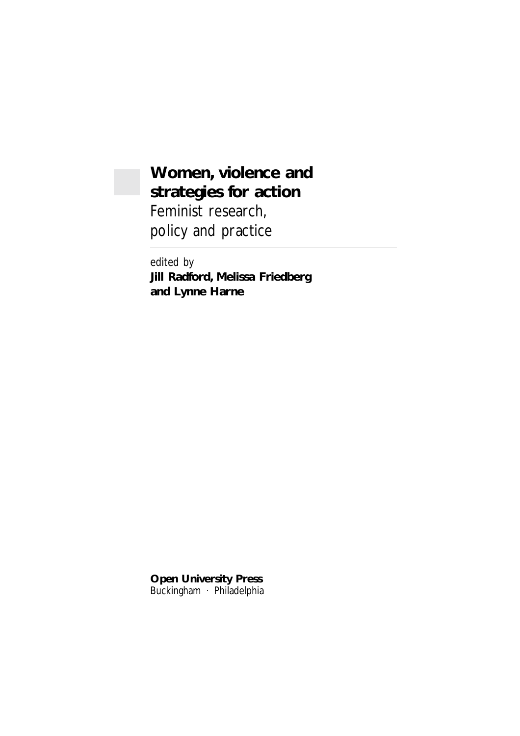# **Women, violence and strategies for action**

Feminist research, policy and practice

edited by **Jill Radford, Melissa Friedberg and Lynne Harne**

**Open University Press** Buckingham · Philadelphia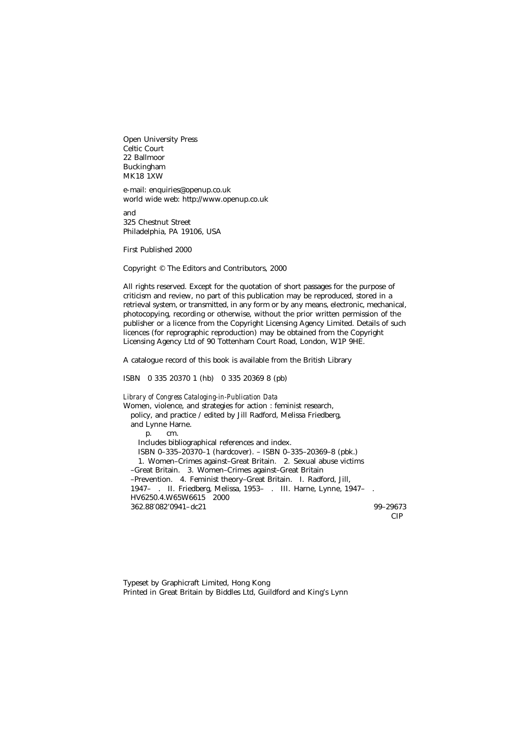Open University Press Celtic Court 22 Ballmoor Buckingham MK18 1XW

e-mail: enquiries@openup.co.uk world wide web: http://www.openup.co.uk

and 325 Chestnut Street Philadelphia, PA 19106, USA

First Published 2000

Copyright © The Editors and Contributors, 2000

All rights reserved. Except for the quotation of short passages for the purpose of criticism and review, no part of this publication may be reproduced, stored in a retrieval system, or transmitted, in any form or by any means, electronic, mechanical, photocopying, recording or otherwise, without the prior written permission of the publisher or a licence from the Copyright Licensing Agency Limited. Details of such licences (for reprographic reproduction) may be obtained from the Copyright Licensing Agency Ltd of 90 Tottenham Court Road, London, W1P 9HE.

A catalogue record of this book is available from the British Library

ISBN 0 335 20370 1 (hb) 0 335 20369 8 (pb)

*Library of Congress Cataloging-in-Publication Data* Women, violence, and strategies for action : feminist research, policy, and practice / edited by Jill Radford, Melissa Friedberg, and Lynne Harne. p. cm. Includes bibliographical references and index. ISBN 0–335–20370–1 (hardcover). – ISBN 0–335–20369–8 (pbk.) 1. Women–Crimes against–Great Britain. 2. Sexual abuse victims –Great Britain. 3. Women–Crimes against–Great Britain –Prevention. 4. Feminist theory–Great Britain. I. Radford, Jill, 1947– . II. Friedberg, Melissa, 1953– . III. Harne, Lynne, 1947– . HV6250.4.W65W6615 2000 362.88′082'0941–dc21 99–29673

CIP

Typeset by Graphicraft Limited, Hong Kong Printed in Great Britain by Biddles Ltd, Guildford and King's Lynn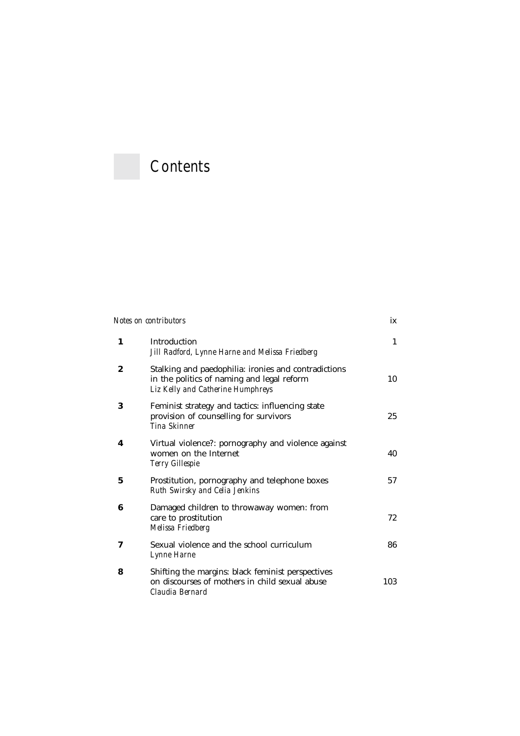# Contents

| Notes on contributors |                                                                                                                                         |              |
|-----------------------|-----------------------------------------------------------------------------------------------------------------------------------------|--------------|
| 1                     | Introduction<br>Jill Radford, Lynne Harne and Melissa Friedberg                                                                         | $\mathbf{1}$ |
| $\boldsymbol{2}$      | Stalking and paedophilia: ironies and contradictions<br>in the politics of naming and legal reform<br>Liz Kelly and Catherine Humphreys | 10           |
| 3                     | Feminist strategy and tactics: influencing state<br>provision of counselling for survivors<br>Tina Skinner                              | 25           |
| 4                     | Virtual violence?: pornography and violence against<br>women on the Internet<br>Terry Gillespie                                         | 40           |
| 5                     | Prostitution, pornography and telephone boxes<br>Ruth Swirsky and Celia Jenkins                                                         | 57           |
| 6                     | Damaged children to throwaway women: from<br>care to prostitution<br>Melissa Friedberg                                                  | 72           |
| 7                     | Sexual violence and the school curriculum<br>Lynne Harne                                                                                | 86           |
| 8                     | Shifting the margins: black feminist perspectives<br>on discourses of mothers in child sexual abuse<br>Claudia Bernard                  | 103          |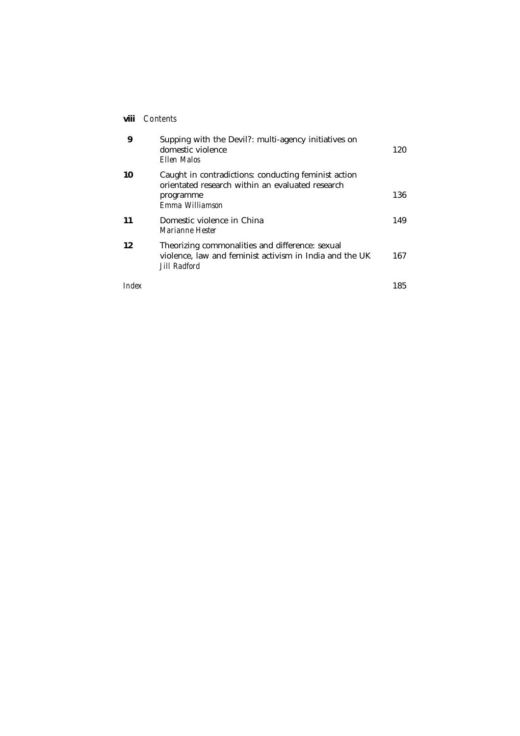## **viii** Contents

| 9            | Supping with the Devil?: multi-agency initiatives on<br>domestic violence<br>Ellen Malos                                                 | 120 |
|--------------|------------------------------------------------------------------------------------------------------------------------------------------|-----|
| 10           | Caught in contradictions: conducting feminist action<br>orientated research within an evaluated research<br>programme<br>Emma Williamson | 136 |
| 11           | Domestic violence in China<br>Marianne Hester                                                                                            | 149 |
| 12           | Theorizing commonalities and difference: sexual<br>violence, law and feminist activism in India and the UK<br>Jill Radford               | 167 |
| <i>Index</i> |                                                                                                                                          | 185 |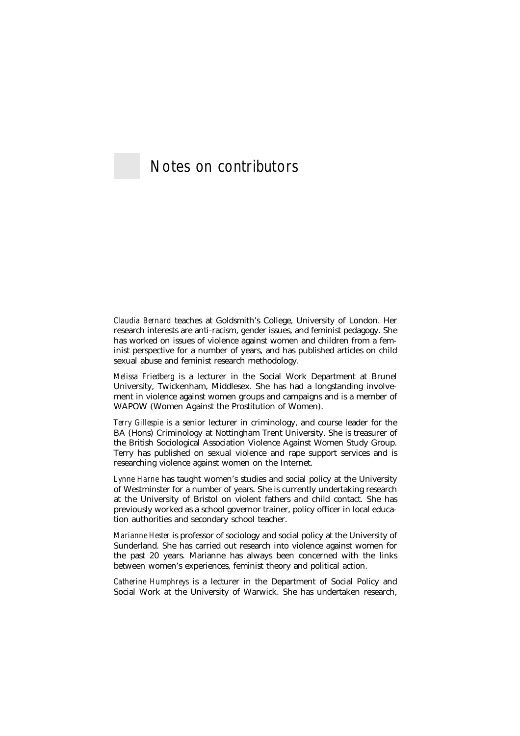# Notes on contributors

*Claudia Bernard* teaches at Goldsmith's College, University of London. Her research interests are anti-racism, gender issues, and feminist pedagogy. She has worked on issues of violence against women and children from a feminist perspective for a number of years, and has published articles on child sexual abuse and feminist research methodology.

*Melissa Friedberg* is a lecturer in the Social Work Department at Brunel University, Twickenham, Middlesex. She has had a longstanding involvement in violence against women groups and campaigns and is a member of WAPOW (Women Against the Prostitution of Women).

*Terry Gillespie* is a senior lecturer in criminology, and course leader for the BA (Hons) Criminology at Nottingham Trent University. She is treasurer of the British Sociological Association Violence Against Women Study Group. Terry has published on sexual violence and rape support services and is researching violence against women on the Internet.

*Lynne Harne* has taught women's studies and social policy at the University of Westminster for a number of years. She is currently undertaking research at the University of Bristol on violent fathers and child contact. She has previously worked as a school governor trainer, policy officer in local education authorities and secondary school teacher.

*Marianne Hester* is professor of sociology and social policy at the University of Sunderland. She has carried out research into violence against women for the past 20 years. Marianne has always been concerned with the links between women's experiences, feminist theory and political action.

*Catherine Humphreys* is a lecturer in the Department of Social Policy and Social Work at the University of Warwick. She has undertaken research,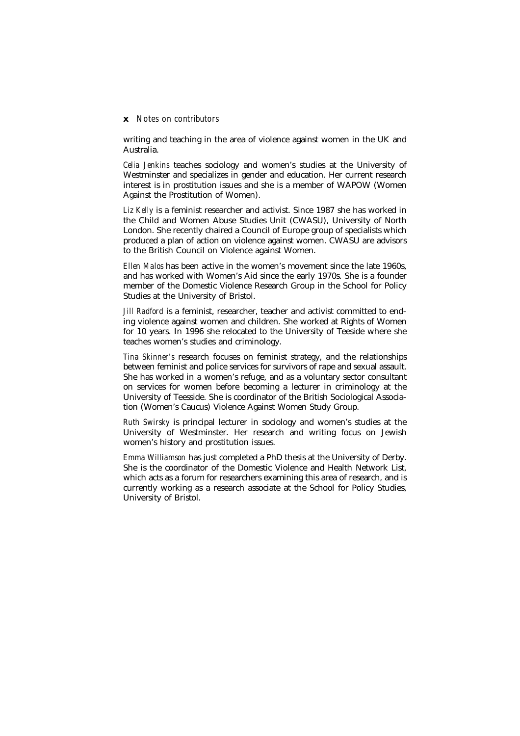#### **x** Notes on contributors

writing and teaching in the area of violence against women in the UK and Australia.

*Celia Jenkins* teaches sociology and women's studies at the University of Westminster and specializes in gender and education. Her current research interest is in prostitution issues and she is a member of WAPOW (Women Against the Prostitution of Women).

*Liz Kelly* is a feminist researcher and activist. Since 1987 she has worked in the Child and Women Abuse Studies Unit (CWASU), University of North London. She recently chaired a Council of Europe group of specialists which produced a plan of action on violence against women. CWASU are advisors to the British Council on Violence against Women.

*Ellen Malos* has been active in the women's movement since the late 1960s, and has worked with Women's Aid since the early 1970s. She is a founder member of the Domestic Violence Research Group in the School for Policy Studies at the University of Bristol.

*Jill Radford* is a feminist, researcher, teacher and activist committed to ending violence against women and children. She worked at Rights of Women for 10 years. In 1996 she relocated to the University of Teeside where she teaches women's studies and criminology.

*Tina Skinner's* research focuses on feminist strategy, and the relationships between feminist and police services for survivors of rape and sexual assault. She has worked in a women's refuge, and as a voluntary sector consultant on services for women before becoming a lecturer in criminology at the University of Teesside. She is coordinator of the British Sociological Association (Women's Caucus) Violence Against Women Study Group.

*Ruth Swirsky* is principal lecturer in sociology and women's studies at the University of Westminster. Her research and writing focus on Jewish women's history and prostitution issues.

*Emma Williamson* has just completed a PhD thesis at the University of Derby. She is the coordinator of the Domestic Violence and Health Network List, which acts as a forum for researchers examining this area of research, and is currently working as a research associate at the School for Policy Studies, University of Bristol.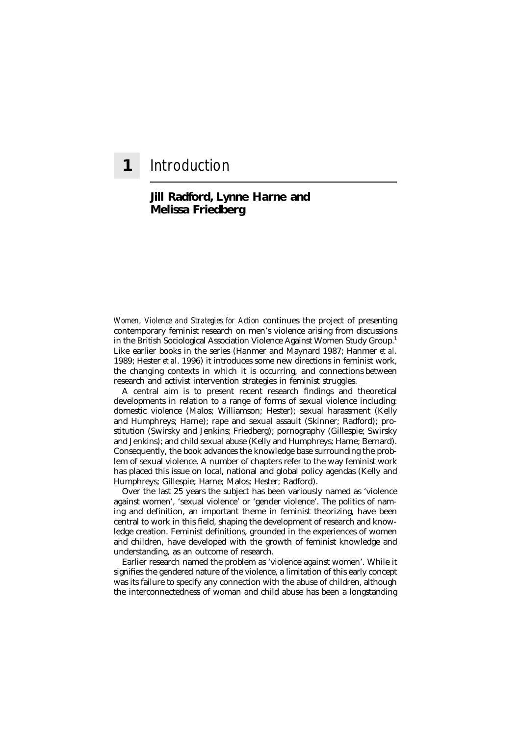## **1** Introduction

## **Jill Radford, Lynne Harne and Melissa Friedberg**

*Women, Violence and Strategies for Action* continues the project of presenting contemporary feminist research on men's violence arising from discussions in the British Sociological Association Violence Against Women Study Group.<sup>1</sup> Like earlier books in the series (Hanmer and Maynard 1987; Hanmer *et al*. 1989; Hester *et al*. 1996) it introduces some new directions in feminist work, the changing contexts in which it is occurring, and connections between research and activist intervention strategies in feminist struggles.

A central aim is to present recent research findings and theoretical developments in relation to a range of forms of sexual violence including: domestic violence (Malos; Williamson; Hester); sexual harassment (Kelly and Humphreys; Harne); rape and sexual assault (Skinner; Radford); prostitution (Swirsky and Jenkins; Friedberg); pornography (Gillespie; Swirsky and Jenkins); and child sexual abuse (Kelly and Humphreys; Harne; Bernard). Consequently, the book advances the knowledge base surrounding the problem of sexual violence. A number of chapters refer to the way feminist work has placed this issue on local, national and global policy agendas (Kelly and Humphreys; Gillespie; Harne; Malos; Hester; Radford).

Over the last 25 years the subject has been variously named as 'violence against women', 'sexual violence' or 'gender violence'. The politics of naming and definition, an important theme in feminist theorizing, have been central to work in this field, shaping the development of research and knowledge creation. Feminist definitions, grounded in the experiences of women and children, have developed with the growth of feminist knowledge and understanding, as an outcome of research.

Earlier research named the problem as 'violence against women'. While it signifies the gendered nature of the violence, a limitation of this early concept was its failure to specify any connection with the abuse of children, although the interconnectedness of woman and child abuse has been a longstanding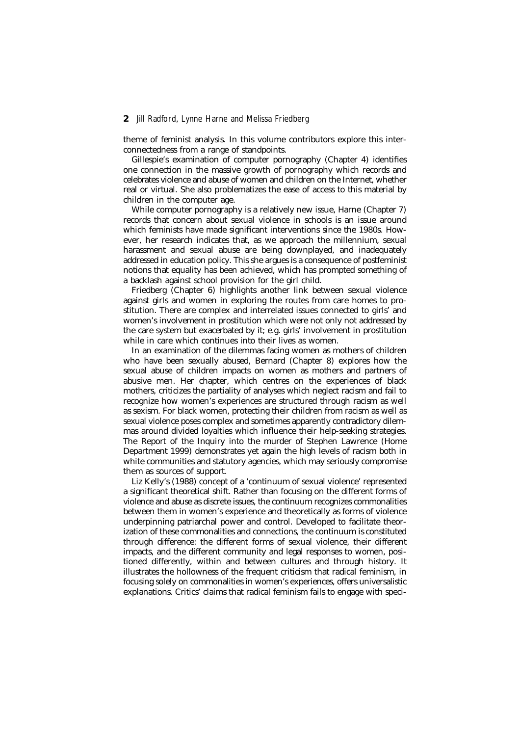theme of feminist analysis. In this volume contributors explore this interconnectedness from a range of standpoints.

Gillespie's examination of computer pornography (Chapter 4) identifies one connection in the massive growth of pornography which records and celebrates violence and abuse of women and children on the Internet, whether real or virtual. She also problematizes the ease of access to this material by children in the computer age.

While computer pornography is a relatively new issue, Harne (Chapter 7) records that concern about sexual violence in schools is an issue around which feminists have made significant interventions since the 1980s. However, her research indicates that, as we approach the millennium, sexual harassment and sexual abuse are being downplayed, and inadequately addressed in education policy. This she argues is a consequence of postfeminist notions that equality has been achieved, which has prompted something of a backlash against school provision for the girl child.

Friedberg (Chapter 6) highlights another link between sexual violence against girls and women in exploring the routes from care homes to prostitution. There are complex and interrelated issues connected to girls' and women's involvement in prostitution which were not only not addressed by the care system but exacerbated by it; e.g. girls' involvement in prostitution while in care which continues into their lives as women.

In an examination of the dilemmas facing women as mothers of children who have been sexually abused, Bernard (Chapter 8) explores how the sexual abuse of children impacts on women as mothers and partners of abusive men. Her chapter, which centres on the experiences of black mothers, criticizes the partiality of analyses which neglect racism and fail to recognize how women's experiences are structured through racism as well as sexism. For black women, protecting their children from racism as well as sexual violence poses complex and sometimes apparently contradictory dilemmas around divided loyalties which influence their help-seeking strategies. The Report of the Inquiry into the murder of Stephen Lawrence (Home Department 1999) demonstrates yet again the high levels of racism both in white communities and statutory agencies, which may seriously compromise them as sources of support.

Liz Kelly's (1988) concept of a 'continuum of sexual violence' represented a significant theoretical shift. Rather than focusing on the different forms of violence and abuse as discrete issues, the continuum recognizes commonalities between them in women's experience and theoretically as forms of violence underpinning patriarchal power and control. Developed to facilitate theorization of these commonalities and connections, the continuum is constituted through difference: the different forms of sexual violence, their different impacts, and the different community and legal responses to women, positioned differently, within and between cultures and through history. It illustrates the hollowness of the frequent criticism that radical feminism, in focusing solely on commonalities in women's experiences, offers universalistic explanations. Critics' claims that radical feminism fails to engage with speci-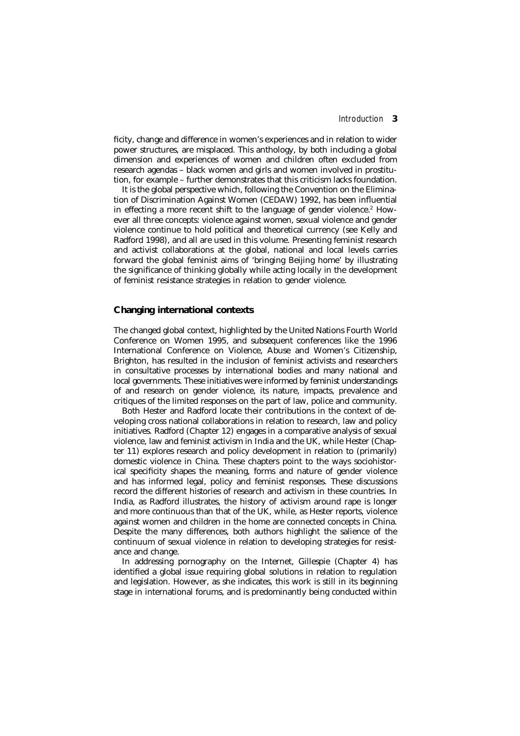#### Introduction **3**

ficity, change and difference in women's experiences and in relation to wider power structures, are misplaced. This anthology, by both including a global dimension and experiences of women and children often excluded from research agendas – black women and girls and women involved in prostitution, for example – further demonstrates that this criticism lacks foundation.

It is the global perspective which, following the Convention on the Elimination of Discrimination Against Women (CEDAW) 1992, has been influential in effecting a more recent shift to the language of gender violence. $^2$  However all three concepts: violence against women, sexual violence and gender violence continue to hold political and theoretical currency (see Kelly and Radford 1998), and all are used in this volume. Presenting feminist research and activist collaborations at the global, national and local levels carries forward the global feminist aims of 'bringing Beijing home' by illustrating the significance of thinking globally while acting locally in the development of feminist resistance strategies in relation to gender violence.

### **Changing international contexts**

The changed global context, highlighted by the United Nations Fourth World Conference on Women 1995, and subsequent conferences like the 1996 International Conference on Violence, Abuse and Women's Citizenship, Brighton, has resulted in the inclusion of feminist activists and researchers in consultative processes by international bodies and many national and local governments. These initiatives were informed by feminist understandings of and research on gender violence, its nature, impacts, prevalence and critiques of the limited responses on the part of law, police and community.

Both Hester and Radford locate their contributions in the context of developing cross national collaborations in relation to research, law and policy initiatives. Radford (Chapter 12) engages in a comparative analysis of sexual violence, law and feminist activism in India and the UK, while Hester (Chapter 11) explores research and policy development in relation to (primarily) domestic violence in China. These chapters point to the ways sociohistorical specificity shapes the meaning, forms and nature of gender violence and has informed legal, policy and feminist responses. These discussions record the different histories of research and activism in these countries. In India, as Radford illustrates, the history of activism around rape is longer and more continuous than that of the UK, while, as Hester reports, violence against women and children in the home are connected concepts in China. Despite the many differences, both authors highlight the salience of the continuum of sexual violence in relation to developing strategies for resistance and change.

In addressing pornography on the Internet, Gillespie (Chapter 4) has identified a global issue requiring global solutions in relation to regulation and legislation. However, as she indicates, this work is still in its beginning stage in international forums, and is predominantly being conducted within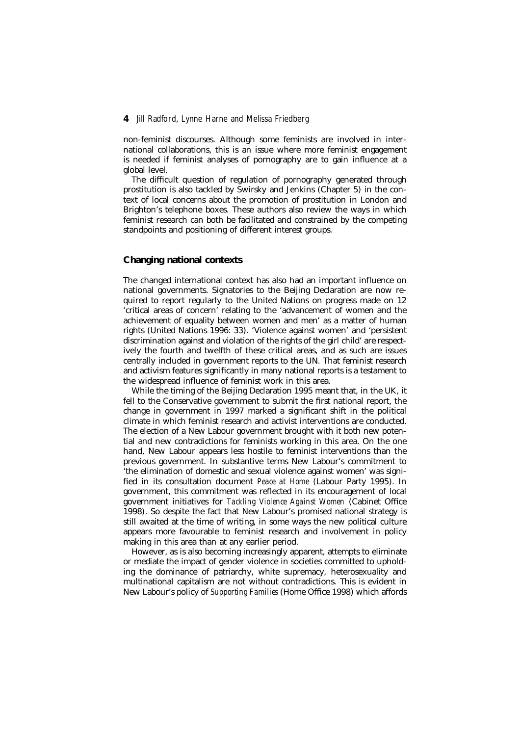non-feminist discourses. Although some feminists are involved in international collaborations, this is an issue where more feminist engagement is needed if feminist analyses of pornography are to gain influence at a global level.

The difficult question of regulation of pornography generated through prostitution is also tackled by Swirsky and Jenkins (Chapter 5) in the context of local concerns about the promotion of prostitution in London and Brighton's telephone boxes. These authors also review the ways in which feminist research can both be facilitated and constrained by the competing standpoints and positioning of different interest groups.

#### **Changing national contexts**

The changed international context has also had an important influence on national governments. Signatories to the Beijing Declaration are now required to report regularly to the United Nations on progress made on 12 'critical areas of concern' relating to the 'advancement of women and the achievement of equality between women and men' as a matter of human rights (United Nations 1996: 33). 'Violence against women' and 'persistent discrimination against and violation of the rights of the girl child' are respectively the fourth and twelfth of these critical areas, and as such are issues centrally included in government reports to the UN. That feminist research and activism features significantly in many national reports is a testament to the widespread influence of feminist work in this area.

While the timing of the Beijing Declaration 1995 meant that, in the UK, it fell to the Conservative government to submit the first national report, the change in government in 1997 marked a significant shift in the political climate in which feminist research and activist interventions are conducted. The election of a New Labour government brought with it both new potential and new contradictions for feminists working in this area. On the one hand, New Labour appears less hostile to feminist interventions than the previous government. In substantive terms New Labour's commitment to 'the elimination of domestic and sexual violence against women' was signified in its consultation document *Peace at Home* (Labour Party 1995). In government, this commitment was reflected in its encouragement of local government initiatives for *Tackling Violence Against Women* (Cabinet Office 1998). So despite the fact that New Labour's promised national strategy is still awaited at the time of writing, in some ways the new political culture appears more favourable to feminist research and involvement in policy making in this area than at any earlier period.

However, as is also becoming increasingly apparent, attempts to eliminate or mediate the impact of gender violence in societies committed to upholding the dominance of patriarchy, white supremacy, heterosexuality and multinational capitalism are not without contradictions. This is evident in New Labour's policy of *Supporting Families* (Home Office 1998) which affords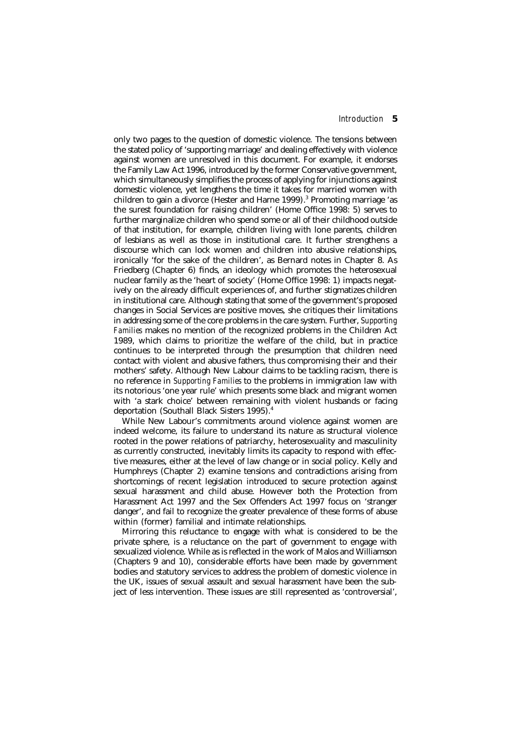only two pages to the question of domestic violence. The tensions between the stated policy of 'supporting marriage' and dealing effectively with violence against women are unresolved in this document. For example, it endorses the Family Law Act 1996, introduced by the former Conservative government, which simultaneously simplifies the process of applying for injunctions against domestic violence, yet lengthens the time it takes for married women with children to gain a divorce (Hester and Harne 1999).<sup>3</sup> Promoting marriage 'as the surest foundation for raising children' (Home Office 1998: 5) serves to further marginalize children who spend some or all of their childhood outside of that institution, for example, children living with lone parents, children of lesbians as well as those in institutional care. It further strengthens a discourse which can lock women and children into abusive relationships, ironically 'for the sake of the children', as Bernard notes in Chapter 8. As Friedberg (Chapter 6) finds, an ideology which promotes the heterosexual nuclear family as the 'heart of society' (Home Office 1998: 1) impacts negatively on the already difficult experiences of, and further stigmatizes children in institutional care. Although stating that some of the government's proposed changes in Social Services are positive moves, she critiques their limitations in addressing some of the core problems in the care system. Further, *Supporting Families* makes no mention of the recognized problems in the Children Act 1989, which claims to prioritize the welfare of the child, but in practice continues to be interpreted through the presumption that children need contact with violent and abusive fathers, thus compromising their and their mothers' safety. Although New Labour claims to be tackling racism, there is no reference in *Supporting Families* to the problems in immigration law with its notorious 'one year rule' which presents some black and migrant women with 'a stark choice' between remaining with violent husbands or facing deportation (Southall Black Sisters 1995).<sup>4</sup>

While New Labour's commitments around violence against women are indeed welcome, its failure to understand its nature as structural violence rooted in the power relations of patriarchy, heterosexuality and masculinity as currently constructed, inevitably limits its capacity to respond with effective measures, either at the level of law change or in social policy. Kelly and Humphreys (Chapter 2) examine tensions and contradictions arising from shortcomings of recent legislation introduced to secure protection against sexual harassment and child abuse. However both the Protection from Harassment Act 1997 and the Sex Offenders Act 1997 focus on 'stranger danger', and fail to recognize the greater prevalence of these forms of abuse within (former) familial and intimate relationships.

Mirroring this reluctance to engage with what is considered to be the private sphere, is a reluctance on the part of government to engage with sexualized violence. While as is reflected in the work of Malos and Williamson (Chapters 9 and 10), considerable efforts have been made by government bodies and statutory services to address the problem of domestic violence in the UK, issues of sexual assault and sexual harassment have been the subject of less intervention. These issues are still represented as 'controversial',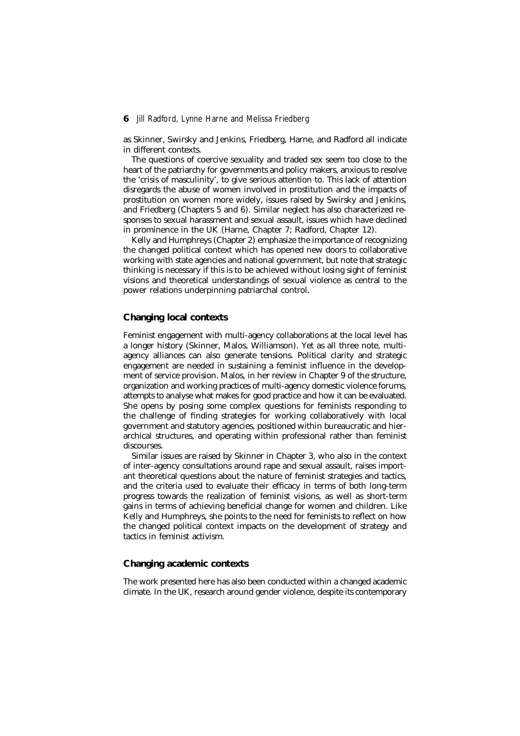as Skinner, Swirsky and Jenkins, Friedberg, Harne, and Radford all indicate in different contexts.

The questions of coercive sexuality and traded sex seem too close to the heart of the patriarchy for governments and policy makers, anxious to resolve the 'crisis of masculinity', to give serious attention to. This lack of attention disregards the abuse of women involved in prostitution and the impacts of prostitution on women more widely, issues raised by Swirsky and Jenkins, and Friedberg (Chapters 5 and 6). Similar neglect has also characterized responses to sexual harassment and sexual assault, issues which have declined in prominence in the UK (Harne, Chapter 7; Radford, Chapter 12).

Kelly and Humphreys (Chapter 2) emphasize the importance of recognizing the changed political context which has opened new doors to collaborative working with state agencies and national government, but note that strategic thinking is necessary if this is to be achieved without losing sight of feminist visions and theoretical understandings of sexual violence as central to the power relations underpinning patriarchal control.

#### **Changing local contexts**

Feminist engagement with multi-agency collaborations at the local level has a longer history (Skinner, Malos, Williamson). Yet as all three note, multiagency alliances can also generate tensions. Political clarity and strategic engagement are needed in sustaining a feminist influence in the development of service provision. Malos, in her review in Chapter 9 of the structure, organization and working practices of multi-agency domestic violence forums, attempts to analyse what makes for good practice and how it can be evaluated. She opens by posing some complex questions for feminists responding to the challenge of finding strategies for working collaboratively with local government and statutory agencies, positioned within bureaucratic and hierarchical structures, and operating within professional rather than feminist discourses.

Similar issues are raised by Skinner in Chapter 3, who also in the context of inter-agency consultations around rape and sexual assault, raises important theoretical questions about the nature of feminist strategies and tactics, and the criteria used to evaluate their efficacy in terms of both long-term progress towards the realization of feminist visions, as well as short-term gains in terms of achieving beneficial change for women and children. Like Kelly and Humphreys, she points to the need for feminists to reflect on how the changed political context impacts on the development of strategy and tactics in feminist activism.

#### **Changing academic contexts**

The work presented here has also been conducted within a changed academic climate. In the UK, research around gender violence, despite its contemporary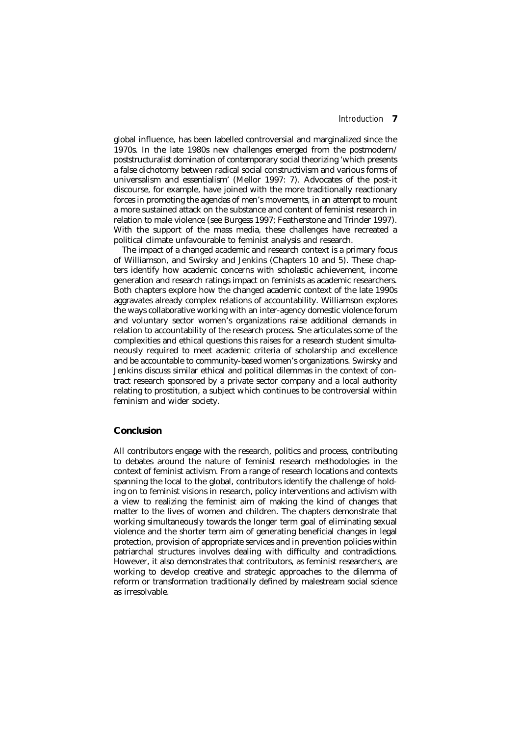#### Introduction **7**

global influence, has been labelled controversial and marginalized since the 1970s. In the late 1980s new challenges emerged from the postmodern/ poststructuralist domination of contemporary social theorizing 'which presents a false dichotomy between radical social constructivism and various forms of universalism and essentialism' (Mellor 1997: 7). Advocates of the post-it discourse, for example, have joined with the more traditionally reactionary forces in promoting the agendas of men's movements, in an attempt to mount a more sustained attack on the substance and content of feminist research in relation to male violence (see Burgess 1997; Featherstone and Trinder 1997). With the support of the mass media, these challenges have recreated a political climate unfavourable to feminist analysis and research.

The impact of a changed academic and research context is a primary focus of Williamson, and Swirsky and Jenkins (Chapters 10 and 5). These chapters identify how academic concerns with scholastic achievement, income generation and research ratings impact on feminists as academic researchers. Both chapters explore how the changed academic context of the late 1990s aggravates already complex relations of accountability. Williamson explores the ways collaborative working with an inter-agency domestic violence forum and voluntary sector women's organizations raise additional demands in relation to accountability of the research process. She articulates some of the complexities and ethical questions this raises for a research student simultaneously required to meet academic criteria of scholarship and excellence and be accountable to community-based women's organizations. Swirsky and Jenkins discuss similar ethical and political dilemmas in the context of contract research sponsored by a private sector company and a local authority relating to prostitution, a subject which continues to be controversial within feminism and wider society.

#### **Conclusion**

All contributors engage with the research, politics and process, contributing to debates around the nature of feminist research methodologies in the context of feminist activism. From a range of research locations and contexts spanning the local to the global, contributors identify the challenge of holding on to feminist visions in research, policy interventions and activism with a view to realizing the feminist aim of making the kind of changes that matter to the lives of women and children. The chapters demonstrate that working simultaneously towards the longer term goal of eliminating sexual violence and the shorter term aim of generating beneficial changes in legal protection, provision of appropriate services and in prevention policies within patriarchal structures involves dealing with difficulty and contradictions. However, it also demonstrates that contributors, as feminist researchers, are working to develop creative and strategic approaches to the dilemma of reform or transformation traditionally defined by malestream social science as irresolvable.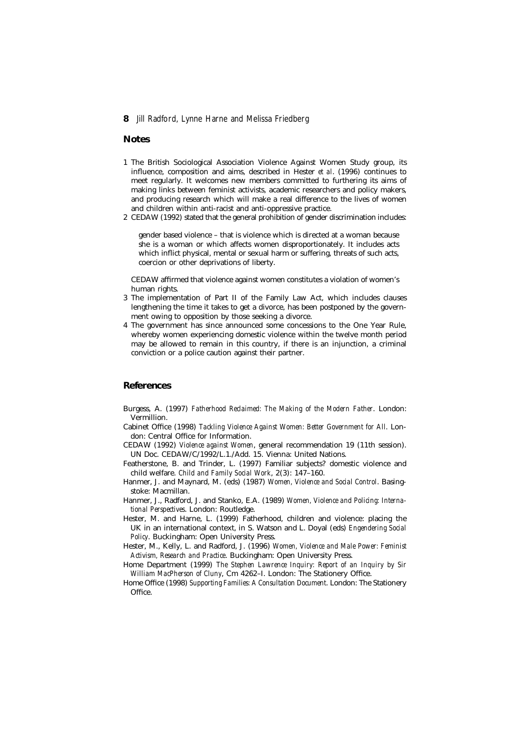#### **Notes**

- 1 The British Sociological Association Violence Against Women Study group, its influence, composition and aims, described in Hester *et al*. (1996) continues to meet regularly. It welcomes new members committed to furthering its aims of making links between feminist activists, academic researchers and policy makers, and producing research which will make a real difference to the lives of women and children within anti-racist and anti-oppressive practice.
- 2 CEDAW (1992) stated that the general prohibition of gender discrimination includes:

gender based violence – that is violence which is directed at a woman because she is a woman or which affects women disproportionately. It includes acts which inflict physical, mental or sexual harm or suffering, threats of such acts, coercion or other deprivations of liberty.

CEDAW affirmed that violence against women constitutes a violation of women's human rights.

- 3 The implementation of Part II of the Family Law Act, which includes clauses lengthening the time it takes to get a divorce, has been postponed by the government owing to opposition by those seeking a divorce.
- 4 The government has since announced some concessions to the One Year Rule, whereby women experiencing domestic violence within the twelve month period may be allowed to remain in this country, if there is an injunction, a criminal conviction or a police caution against their partner.

#### **References**

- Burgess, A. (1997) *Fatherhood Reclaimed: The Making of the Modern Father*. London: Vermillion.
- Cabinet Office (1998) *Tackling Violence Against Women: Better Government for All*. London: Central Office for Information.
- CEDAW (1992) *Violence against Women*, general recommendation 19 (11th session). UN Doc. CEDAW/C/1992/L.1./Add. 15. Vienna: United Nations.
- Featherstone, B. and Trinder, L. (1997) Familiar subjects? domestic violence and child welfare. *Child and Family Social Work*, 2(3): 147–160.
- Hanmer, J. and Maynard, M. (eds) (1987) *Women, Violence and Social Control*. Basingstoke: Macmillan.
- Hanmer, J., Radford, J. and Stanko, E.A. (1989) *Women, Violence and Policing: International Perspectives*. London: Routledge.
- Hester, M. and Harne, L. (1999) Fatherhood, children and violence: placing the UK in an international context, in S. Watson and L. Doyal (eds) *Engendering Social Policy*. Buckingham: Open University Press.
- Hester, M., Kelly, L. and Radford, J. (1996) *Women, Violence and Male Power: Feminist Activism, Research and Practice*. Buckingham: Open University Press.
- Home Department (1999) *The Stephen Lawrence Inquiry: Report of an Inquiry by Sir William MacPherson of Cluny*, Cm 4262–I. London: The Stationery Office.
- Home Office (1998) *Supporting Families: A Consultation Document*. London: The Stationery Office.